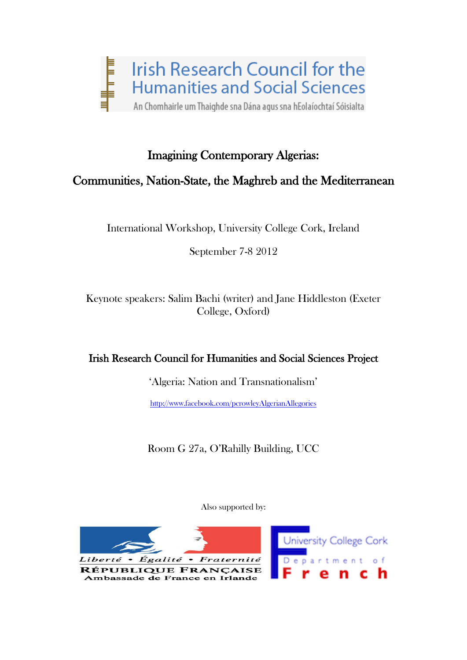

# Imagining Contemporary Algerias:

# Communities, Nation-State, the Maghreb and the Mediterranean

International Workshop, University College Cork, Ireland

September 7-8 2012

Keynote speakers: Salim Bachi (writer) and Jane Hiddleston (Exeter College, Oxford)

# Irish Research Council for Humanities and Social Sciences Project

'Algeria: Nation and Transnationalism'

<http://www.facebook.com/pcrowleyAlgerianAllegories>

Room G 27a, O'Rahilly Building, UCC

Also supported by:

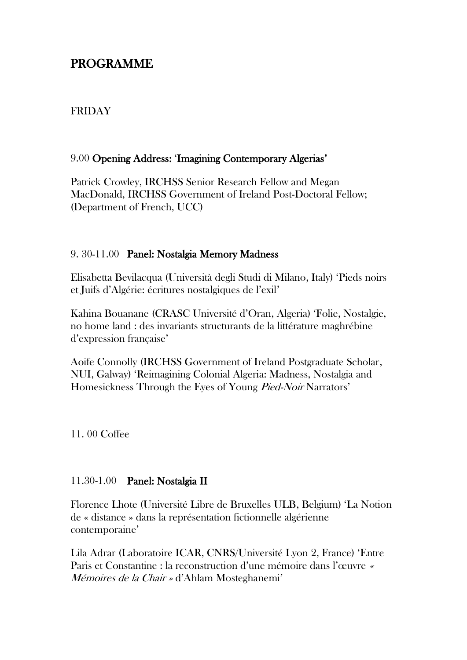# PROGRAMME

### FRIDAY

#### 9.00 Opening Address: 'Imagining Contemporary Algerias'

Patrick Crowley, IRCHSS Senior Research Fellow and Megan MacDonald, IRCHSS Government of Ireland Post-Doctoral Fellow; (Department of French, UCC)

#### 9. 30-11.00 Panel: Nostalgia Memory Madness

Elisabetta Bevilacqua (Università degli Studi di Milano, Italy) 'Pieds noirs et Juifs d'Algérie: écritures nostalgiques de l'exil'

Kahina Bouanane (CRASC Université d'Oran, Algeria) 'Folie, Nostalgie, no home land : des invariants structurants de la littérature maghrébine d'expression française'

Aoife Connolly (IRCHSS Government of Ireland Postgraduate Scholar, NUI, Galway) 'Reimagining Colonial Algeria: Madness, Nostalgia and Homesickness Through the Eyes of Young Pied-Noir Narrators'

11. 00 Coffee

#### 11.30-1.00 Panel: Nostalgia II

Florence Lhote (Université Libre de Bruxelles ULB, Belgium) 'La Notion de « distance » dans la représentation fictionnelle algérienne contemporaine'

Lila Adrar (Laboratoire ICAR, CNRS/Université Lyon 2, France) 'Entre Paris et Constantine : la reconstruction d'une mémoire dans l'œuvre « Mémoires de la Chair » d'Ahlam Mosteghanemi'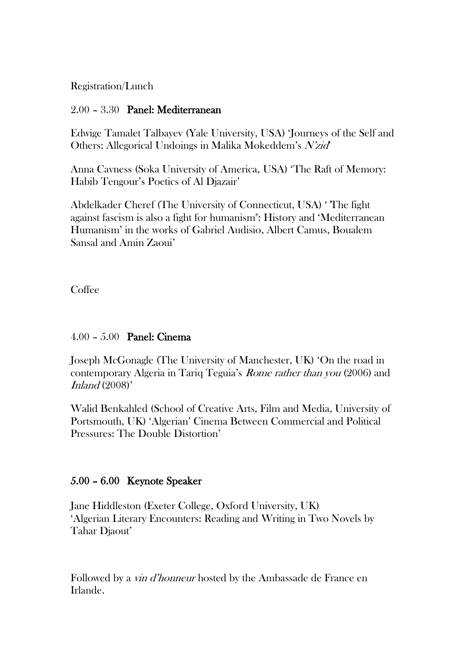Registration/Lunch

### 2.00 – 3.30 Panel: Mediterranean

Edwige Tamalet Talbayev (Yale University, USA) 'Journeys of the Self and Others: Allegorical Undoings in Malika Mokeddem's N'zid'

Anna Cavness (Soka University of America, USA) 'The Raft of Memory: Habib Tengour's Poetics of Al Djazair'

Abdelkader Cheref (The University of Connecticut, USA) '"The fight against fascism is also a fight for humanism": History and 'Mediterranean Humanism' in the works of Gabriel Audisio, Albert Camus, Boualem Sansal and Amin Zaoui'

**Coffee** 

# 4.00 – 5.00 Panel: Cinema

Joseph McGonagle (The University of Manchester, UK) 'On the road in contemporary Algeria in Tariq Teguia's Rome rather than you (2006) and Inland  $(2008)$ '

Walid Benkahled (School of Creative Arts, Film and Media, University of Portsmouth, UK) 'Algerian' Cinema Between Commercial and Political Pressures: The Double Distortion'

# 5.00 – 6.00 Keynote Speaker

Jane Hiddleston (Exeter College, Oxford University, UK) 'Algerian Literary Encounters: Reading and Writing in Two Novels by Tahar Djaout'

Followed by a *vin d'honneur* hosted by the Ambassade de France en Irlande.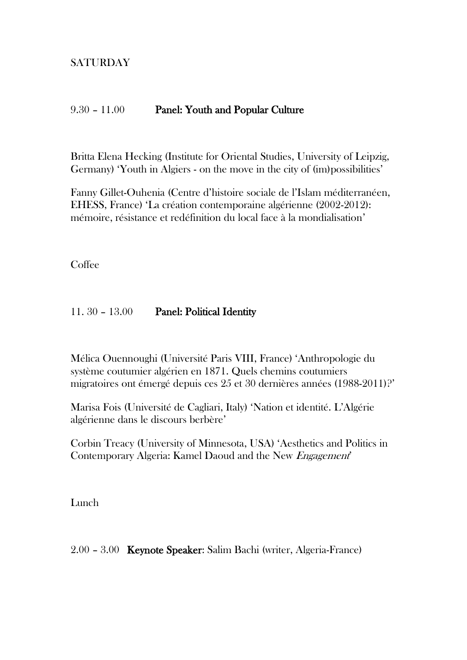# SATURDAY

#### 9.30 – 11.00 Panel: Youth and Popular Culture

Britta Elena Hecking (Institute for Oriental Studies, University of Leipzig, Germany) 'Youth in Algiers - on the move in the city of (im)possibilities'

Fanny Gillet-Ouhenia (Centre d'histoire sociale de l'Islam méditerranéen, EHESS, France) 'La création contemporaine algérienne (2002-2012): mémoire, résistance et redéfinition du local face à la mondialisation'

Coffee

#### 11. 30 – 13.00 Panel: Political Identity

Mélica Ouennoughi (Université Paris VIII, France) 'Anthropologie du système coutumier algérien en 1871. Quels chemins coutumiers migratoires ont émergé depuis ces 25 et 30 dernières années (1988-2011)?'

Marisa Fois (Université de Cagliari, Italy) 'Nation et identité. L'Algérie algérienne dans le discours berbère'

Corbin Treacy (University of Minnesota, USA) 'Aesthetics and Politics in Contemporary Algeria: Kamel Daoud and the New Engagement'

Lunch

2.00 – 3.00 Keynote Speaker: Salim Bachi (writer, Algeria-France)